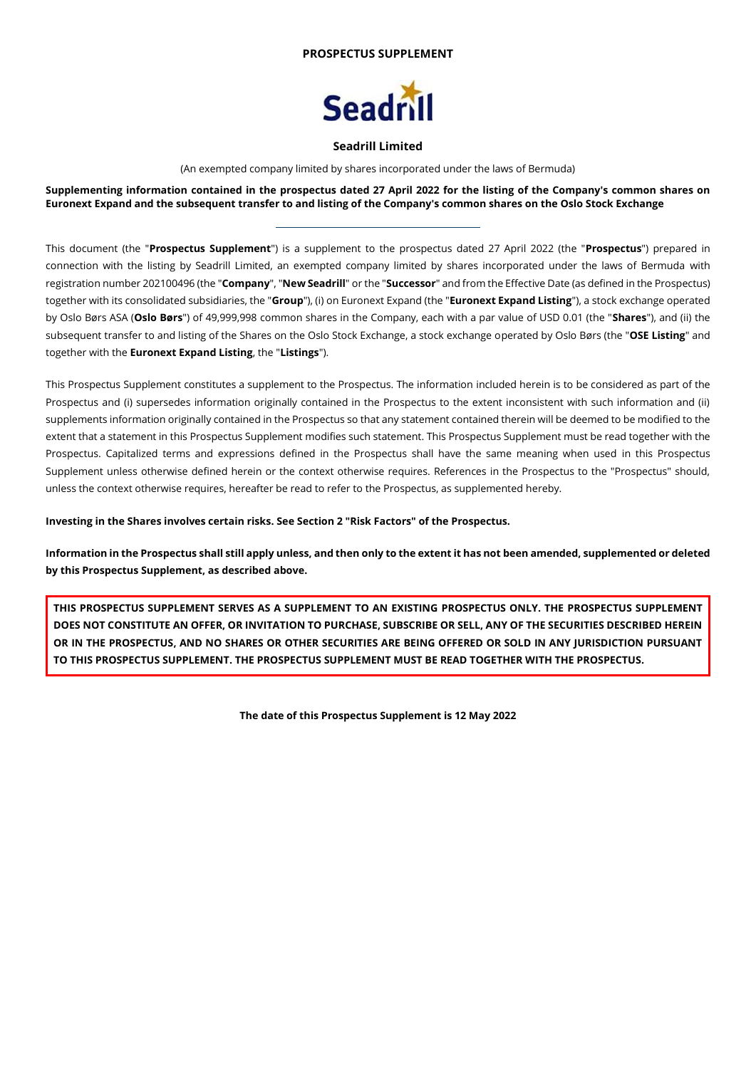## **PROSPECTUS SUPPLEMENT**



### **Seadrill Limited**

(An exempted company limited by shares incorporated under the laws of Bermuda)

**Supplementing information contained in the prospectus dated 27 April 2022 for the listing of the Company's common shares on Euronext Expand and the subsequent transfer to and listing of the Company's common shares on the Oslo Stock Exchange**

This document (the "**Prospectus Supplement**") is a supplement to the prospectus dated 27 April 2022 (the "**Prospectus**") prepared in connection with the listing by Seadrill Limited, an exempted company limited by shares incorporated under the laws of Bermuda with registration number 202100496 (the "**Company**", "**New Seadrill**" or the "**Successor**" and from the Effective Date (as defined in the Prospectus) together with its consolidated subsidiaries, the "**Group**"), (i) on Euronext Expand (the "**Euronext Expand Listing**"), a stock exchange operated by Oslo Børs ASA (**Oslo Børs**") of 49,999,998 common shares in the Company, each with a par value of USD 0.01 (the "**Shares**"), and (ii) the subsequent transfer to and listing of the Shares on the Oslo Stock Exchange, a stock exchange operated by Oslo Børs (the "**OSE Listing**" and together with the **Euronext Expand Listing**, the "**Listings**").

This Prospectus Supplement constitutes a supplement to the Prospectus. The information included herein is to be considered as part of the Prospectus and (i) supersedes information originally contained in the Prospectus to the extent inconsistent with such information and (ii) supplements information originally contained in the Prospectus so that any statement contained therein will be deemed to be modified to the extent that a statement in this Prospectus Supplement modifies such statement. This Prospectus Supplement must be read together with the Prospectus. Capitalized terms and expressions defined in the Prospectus shall have the same meaning when used in this Prospectus Supplement unless otherwise defined herein or the context otherwise requires. References in the Prospectus to the "Prospectus" should, unless the context otherwise requires, hereafter be read to refer to the Prospectus, as supplemented hereby.

**Investing in the Shares involves certain risks. See Section 2 "Risk Factors" of the Prospectus.**

**Information in the Prospectus shall still apply unless, and then only to the extent it has not been amended, supplemented or deleted by this Prospectus Supplement, as described above.**

**THIS PROSPECTUS SUPPLEMENT SERVES AS A SUPPLEMENT TO AN EXISTING PROSPECTUS ONLY. THE PROSPECTUS SUPPLEMENT DOES NOT CONSTITUTE AN OFFER, OR INVITATION TO PURCHASE, SUBSCRIBE OR SELL, ANY OF THE SECURITIES DESCRIBED HEREIN OR IN THE PROSPECTUS, AND NO SHARES OR OTHER SECURITIES ARE BEING OFFERED OR SOLD IN ANY JURISDICTION PURSUANT TO THIS PROSPECTUS SUPPLEMENT. THE PROSPECTUS SUPPLEMENT MUST BE READ TOGETHER WITH THE PROSPECTUS.**

**The date of this Prospectus Supplement is 12 May 2022**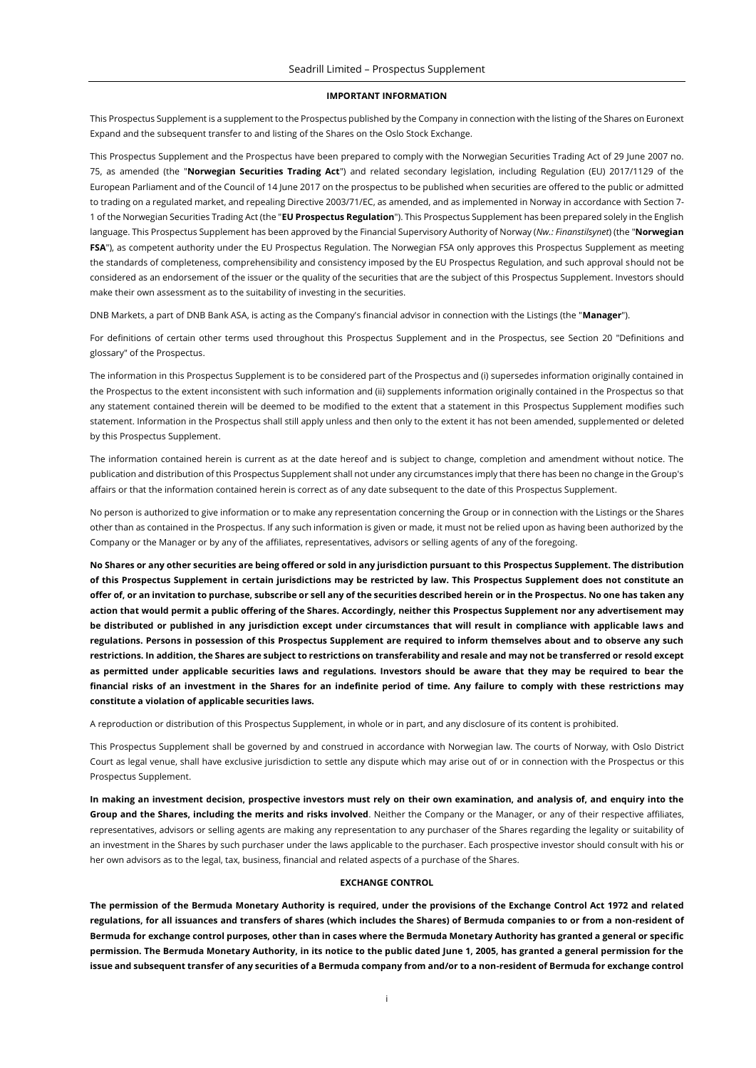#### **IMPORTANT INFORMATION**

This Prospectus Supplement is a supplement to the Prospectus published by the Company in connection with the listing of the Shares on Euronext Expand and the subsequent transfer to and listing of the Shares on the Oslo Stock Exchange.

This Prospectus Supplement and the Prospectus have been prepared to comply with the Norwegian Securities Trading Act of 29 June 2007 no. 75, as amended (the "**Norwegian Securities Trading Act**") and related secondary legislation, including Regulation (EU) 2017/1129 of the European Parliament and of the Council of 14 June 2017 on the prospectus to be published when securities are offered to the public or admitted to trading on a regulated market, and repealing Directive 2003/71/EC, as amended, and as implemented in Norway in accordance with Section 7- 1 of the Norwegian Securities Trading Act (the "**EU Prospectus Regulation**"). This Prospectus Supplement has been prepared solely in the English language. This Prospectus Supplement has been approved by the Financial Supervisory Authority of Norway (*Nw.: Finanstilsynet*) (the "**Norwegian FSA**"), as competent authority under the EU Prospectus Regulation. The Norwegian FSA only approves this Prospectus Supplement as meeting the standards of completeness, comprehensibility and consistency imposed by the EU Prospectus Regulation, and such approval should not be considered as an endorsement of the issuer or the quality of the securities that are the subject of this Prospectus Supplement. Investors should make their own assessment as to the suitability of investing in the securities.

DNB Markets, a part of DNB Bank ASA, is acting as the Company's financial advisor in connection with the Listings (the "**Manager**").

For definitions of certain other terms used throughout this Prospectus Supplement and in the Prospectus, see Section 20 "Definitions and glossary" of the Prospectus.

The information in this Prospectus Supplement is to be considered part of the Prospectus and (i) supersedes information originally contained in the Prospectus to the extent inconsistent with such information and (ii) supplements information originally contained in the Prospectus so that any statement contained therein will be deemed to be modified to the extent that a statement in this Prospectus Supplement modifies such statement. Information in the Prospectus shall still apply unless and then only to the extent it has not been amended, supplemented or deleted by this Prospectus Supplement.

The information contained herein is current as at the date hereof and is subject to change, completion and amendment without notice. The publication and distribution of this Prospectus Supplement shall not under any circumstances imply that there has been no change in the Group's affairs or that the information contained herein is correct as of any date subsequent to the date of this Prospectus Supplement.

No person is authorized to give information or to make any representation concerning the Group or in connection with the Listings or the Shares other than as contained in the Prospectus. If any such information is given or made, it must not be relied upon as having been authorized by the Company or the Manager or by any of the affiliates, representatives, advisors or selling agents of any of the foregoing.

**No Shares or any other securities are being offered or sold in any jurisdiction pursuant to this Prospectus Supplement. The distribution of this Prospectus Supplement in certain jurisdictions may be restricted by law. This Prospectus Supplement does not constitute an offer of, or an invitation to purchase, subscribe or sell any of the securities described herein or in the Prospectus. No one has taken any action that would permit a public offering of the Shares. Accordingly, neither this Prospectus Supplement nor any advertisement may be distributed or published in any jurisdiction except under circumstances that will result in compliance with applicable laws and regulations. Persons in possession of this Prospectus Supplement are required to inform themselves about and to observe any such restrictions. In addition, the Shares are subject to restrictions on transferability and resale and may not be transferred or resold except as permitted under applicable securities laws and regulations. Investors should be aware that they may be required to bear the financial risks of an investment in the Shares for an indefinite period of time. Any failure to comply with these restrictions may constitute a violation of applicable securities laws.**

A reproduction or distribution of this Prospectus Supplement, in whole or in part, and any disclosure of its content is prohibited.

This Prospectus Supplement shall be governed by and construed in accordance with Norwegian law. The courts of Norway, with Oslo District Court as legal venue, shall have exclusive jurisdiction to settle any dispute which may arise out of or in connection with the Prospectus or this Prospectus Supplement.

**In making an investment decision, prospective investors must rely on their own examination, and analysis of, and enquiry into the Group and the Shares, including the merits and risks involved**. Neither the Company or the Manager, or any of their respective affiliates, representatives, advisors or selling agents are making any representation to any purchaser of the Shares regarding the legality or suitability of an investment in the Shares by such purchaser under the laws applicable to the purchaser. Each prospective investor should consult with his or her own advisors as to the legal, tax, business, financial and related aspects of a purchase of the Shares.

### **EXCHANGE CONTROL**

**The permission of the Bermuda Monetary Authority is required, under the provisions of the Exchange Control Act 1972 and related regulations, for all issuances and transfers of shares (which includes the Shares) of Bermuda companies to or from a non-resident of Bermuda for exchange control purposes, other than in cases where the Bermuda Monetary Authority has granted a general or specific permission. The Bermuda Monetary Authority, in its notice to the public dated June 1, 2005, has granted a general permission for the issue and subsequent transfer of any securities of a Bermuda company from and/or to a non-resident of Bermuda for exchange control**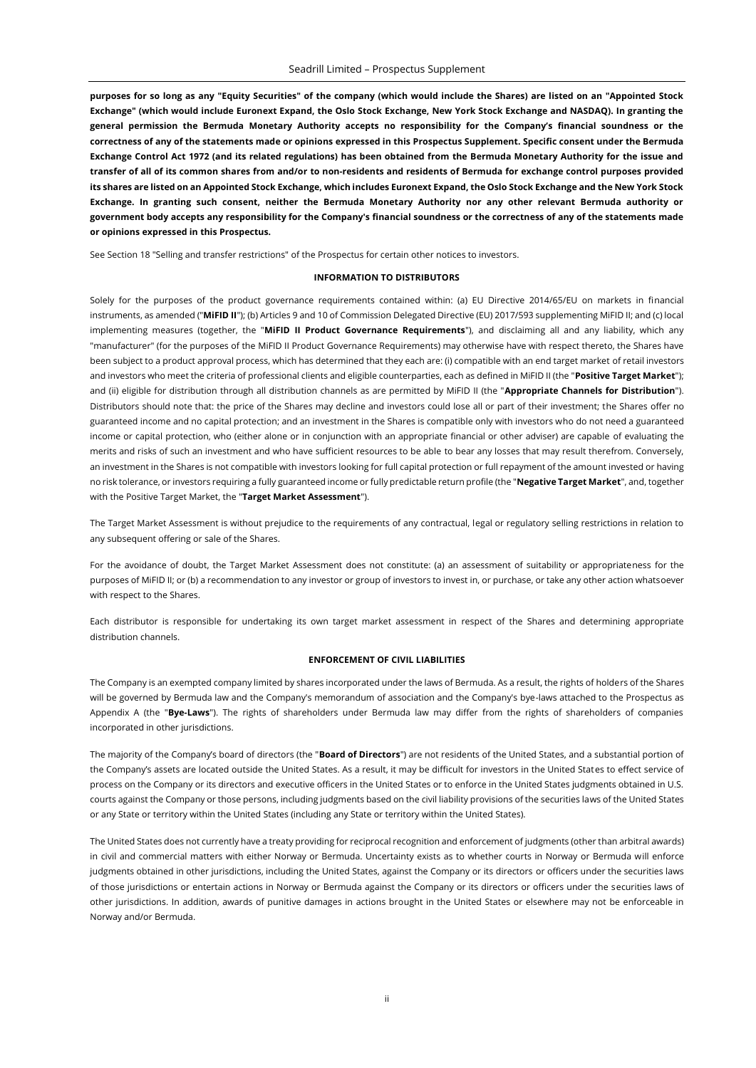**purposes for so long as any "Equity Securities" of the company (which would include the Shares) are listed on an "Appointed Stock Exchange" (which would include Euronext Expand, the Oslo Stock Exchange, New York Stock Exchange and NASDAQ). In granting the general permission the Bermuda Monetary Authority accepts no responsibility for the Company's financial soundness or the correctness of any of the statements made or opinions expressed in this Prospectus Supplement. Specific consent under the Bermuda Exchange Control Act 1972 (and its related regulations) has been obtained from the Bermuda Monetary Authority for the issue and transfer of all of its common shares from and/or to non-residents and residents of Bermuda for exchange control purposes provided its shares are listed on an Appointed Stock Exchange, which includes Euronext Expand, the Oslo Stock Exchange and the New York Stock Exchange. In granting such consent, neither the Bermuda Monetary Authority nor any other relevant Bermuda authority or government body accepts any responsibility for the Company's financial soundness or the correctness of any of the statements made or opinions expressed in this Prospectus.**

See Section 18 "Selling and transfer restrictions" of the Prospectus for certain other notices to investors.

#### **INFORMATION TO DISTRIBUTORS**

Solely for the purposes of the product governance requirements contained within: (a) EU Directive 2014/65/EU on markets in financial instruments, as amended ("**MiFID II**"); (b) Articles 9 and 10 of Commission Delegated Directive (EU) 2017/593 supplementing MiFID II; and (c) local implementing measures (together, the "**MiFID II Product Governance Requirements**"), and disclaiming all and any liability, which any "manufacturer" (for the purposes of the MiFID II Product Governance Requirements) may otherwise have with respect thereto, the Shares have been subject to a product approval process, which has determined that they each are: (i) compatible with an end target market of retail investors and investors who meet the criteria of professional clients and eligible counterparties, each as defined in MiFID II (the "**Positive Target Market**"); and (ii) eligible for distribution through all distribution channels as are permitted by MiFID II (the "**Appropriate Channels for Distribution**"). Distributors should note that: the price of the Shares may decline and investors could lose all or part of their investment; the Shares offer no guaranteed income and no capital protection; and an investment in the Shares is compatible only with investors who do not need a guaranteed income or capital protection, who (either alone or in conjunction with an appropriate financial or other adviser) are capable of evaluating the merits and risks of such an investment and who have sufficient resources to be able to bear any losses that may result therefrom. Conversely, an investment in the Shares is not compatible with investors looking for full capital protection or full repayment of the amount invested or having no risk tolerance, or investors requiring a fully guaranteed income or fully predictable return profile (the "**Negative Target Market**", and, together with the Positive Target Market, the "**Target Market Assessment**").

The Target Market Assessment is without prejudice to the requirements of any contractual, legal or regulatory selling restrictions in relation to any subsequent offering or sale of the Shares.

For the avoidance of doubt, the Target Market Assessment does not constitute: (a) an assessment of suitability or appropriateness for the purposes of MiFID II; or (b) a recommendation to any investor or group of investors to invest in, or purchase, or take any other action whatsoever with respect to the Shares.

Each distributor is responsible for undertaking its own target market assessment in respect of the Shares and determining appropriate distribution channels.

### **ENFORCEMENT OF CIVIL LIABILITIES**

The Company is an exempted company limited by shares incorporated under the laws of Bermuda. As a result, the rights of holders of the Shares will be governed by Bermuda law and the Company's memorandum of association and the Company's bye-laws attached to the Prospectus as Appendix A (the "**Bye-Laws**"). The rights of shareholders under Bermuda law may differ from the rights of shareholders of companies incorporated in other jurisdictions.

The majority of the Company's board of directors (the "**Board of Directors**") are not residents of the United States, and a substantial portion of the Company's assets are located outside the United States. As a result, it may be difficult for investors in the United States to effect service of process on the Company or its directors and executive officers in the United States or to enforce in the United States judgments obtained in U.S. courts against the Company or those persons, including judgments based on the civil liability provisions of the securities laws of the United States or any State or territory within the United States (including any State or territory within the United States).

The United States does not currently have a treaty providing for reciprocal recognition and enforcement of judgments (other than arbitral awards) in civil and commercial matters with either Norway or Bermuda. Uncertainty exists as to whether courts in Norway or Bermuda will enforce judgments obtained in other jurisdictions, including the United States, against the Company or its directors or officers under the securities laws of those jurisdictions or entertain actions in Norway or Bermuda against the Company or its directors or officers under the securities laws of other jurisdictions. In addition, awards of punitive damages in actions brought in the United States or elsewhere may not be enforceable in Norway and/or Bermuda.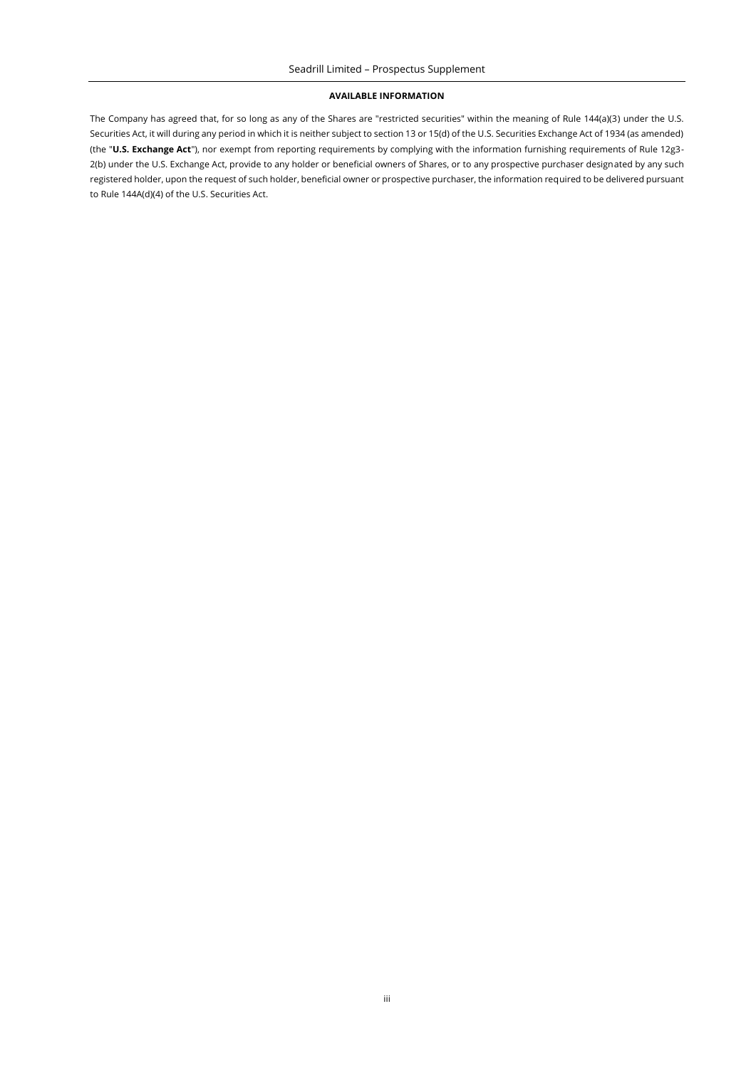#### **AVAILABLE INFORMATION**

The Company has agreed that, for so long as any of the Shares are "restricted securities" within the meaning of Rule 144(a)(3) under the U.S. Securities Act, it will during any period in which it is neither subject to section 13 or 15(d) of the U.S. Securities Exchange Act of 1934 (as amended) (the "**U.S. Exchange Act**"), nor exempt from reporting requirements by complying with the information furnishing requirements of Rule 12g3- 2(b) under the U.S. Exchange Act, provide to any holder or beneficial owners of Shares, or to any prospective purchaser designated by any such registered holder, upon the request of such holder, beneficial owner or prospective purchaser, the information required to be delivered pursuant to Rule 144A(d)(4) of the U.S. Securities Act.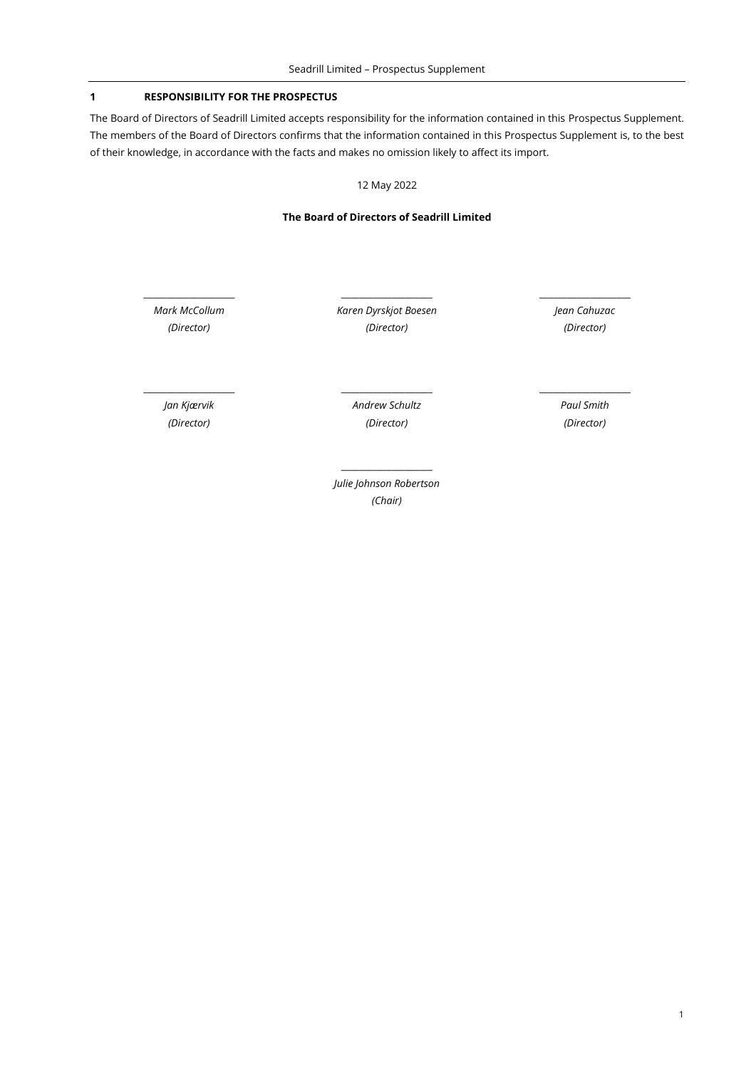## **1 RESPONSIBILITY FOR THE PROSPECTUS**

The Board of Directors of Seadrill Limited accepts responsibility for the information contained in this Prospectus Supplement. The members of the Board of Directors confirms that the information contained in this Prospectus Supplement is, to the best of their knowledge, in accordance with the facts and makes no omission likely to affect its import.

12 May 2022

### **The Board of Directors of Seadrill Limited**

*Mark McCollum (Director)*

*Karen Dyrskjot Boesen (Director)*

\_\_\_\_\_\_\_\_\_\_\_\_\_\_\_\_\_\_\_\_ \_\_\_\_\_\_\_\_\_\_\_\_\_\_\_\_\_\_\_\_ \_\_\_\_\_\_\_\_\_\_\_\_\_\_\_\_\_\_\_\_

*Jean Cahuzac (Director)*

*Jan Kjærvik (Director)*

*Andrew Schultz (Director)*

\_\_\_\_\_\_\_\_\_\_\_\_\_\_\_\_\_\_\_\_ \_\_\_\_\_\_\_\_\_\_\_\_\_\_\_\_\_\_\_\_ \_\_\_\_\_\_\_\_\_\_\_\_\_\_\_\_\_\_\_\_

*Paul Smith (Director)*

*Julie Johnson Robertson (Chair)*

 $\_$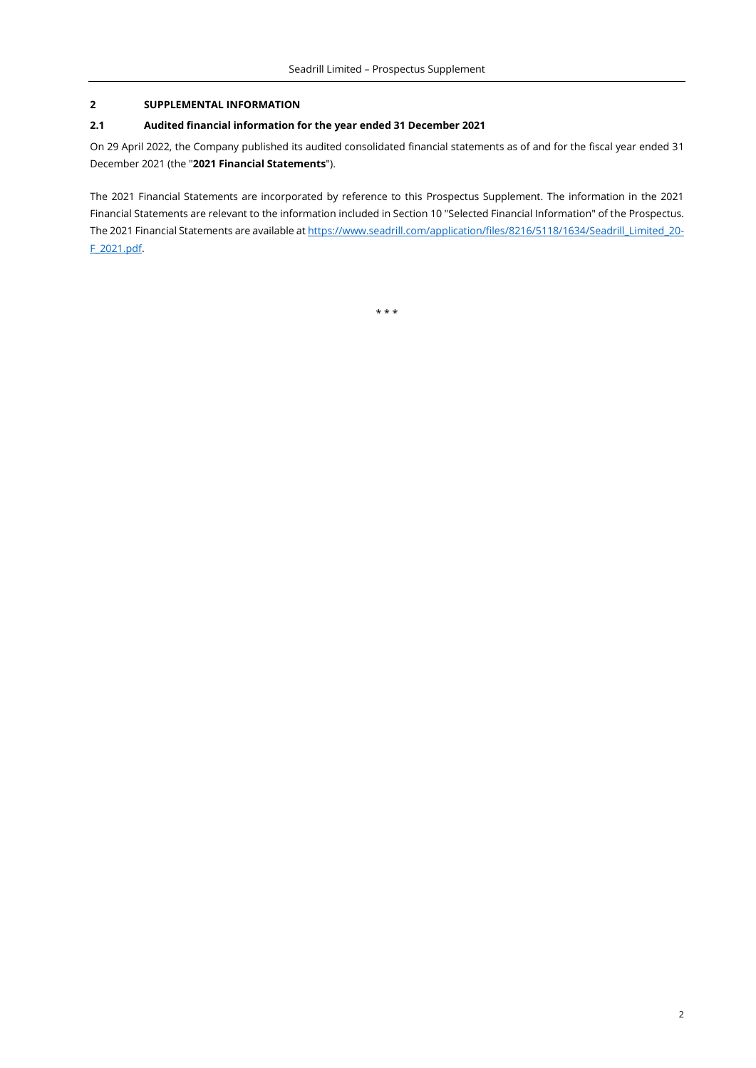## **2 SUPPLEMENTAL INFORMATION**

## **2.1 Audited financial information for the year ended 31 December 2021**

On 29 April 2022, the Company published its audited consolidated financial statements as of and for the fiscal year ended 31 December 2021 (the "**2021 Financial Statements**").

The 2021 Financial Statements are incorporated by reference to this Prospectus Supplement. The information in the 2021 Financial Statements are relevant to the information included in Section 10 "Selected Financial Information" of the Prospectus. The 2021 Financial Statements are available at https://www.seadrill.com/application/files/8216/5118/1634/Seadrill Limited 20-[F\\_2021.pdf.](https://www.seadrill.com/application/files/8216/5118/1634/Seadrill_Limited_20-F_2021.pdf)

\* \* \*